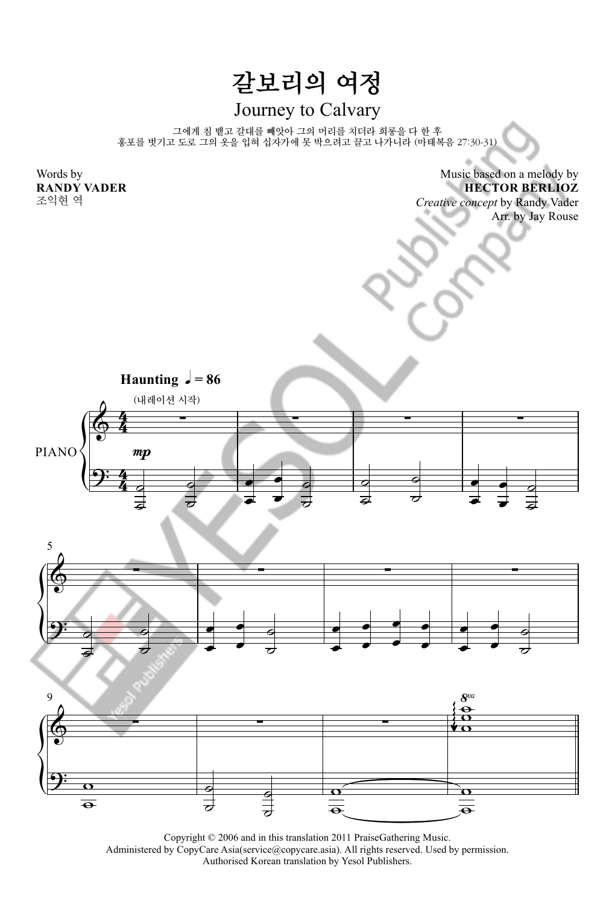## 갈보리의 여정

## Journey to Calvary

그에게 침 뱉고 갈대를 빼앗아 그의 머리를 치더라 희롱을 다 한 후 홍포를 벗기고 도로 그의 옷을 입혀 십자가에 못 박으려고 끌고 나가니라 (마태복음 27:30-31)

Words by **RANDY VADER**

조익현 역

Music based on a melody by **HECTOR BERLIOZ** *Creative concept* by Randy Vader

Arr. by Jay Rouse



Copyright © 2006 and in this translation 2011 PraiseGathering Music. Administered by CopyCare Asia(service@copycare.asia). All rights reserved. Used by permission. Authorised Korean translation by Yesol Publishers.